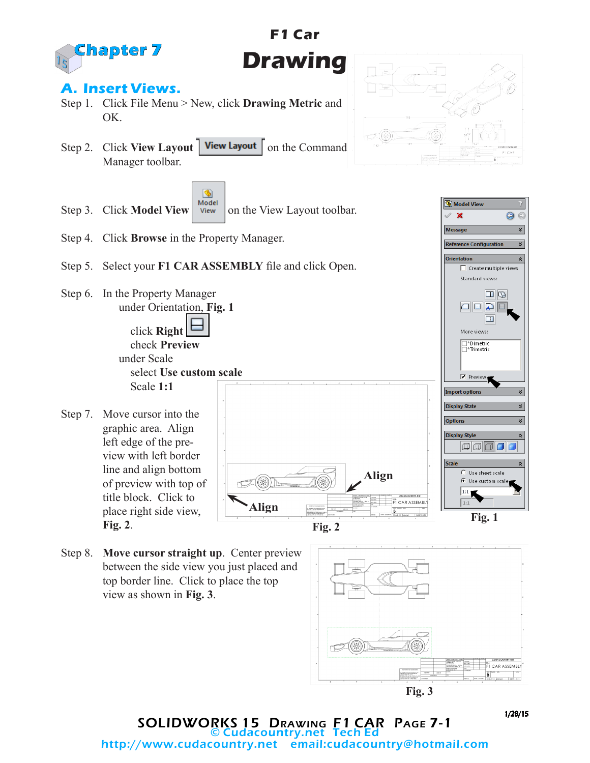

# **F1 Car Drawing**

### **A. Insert Views.**

- Step 1. Click File Menu > New, click **Drawing Metric** and OK.
- Step 2. Click **View Layout** | **View Layout** | on the Command Manager toolbar.





- Step 4. Click **Browse** in the Property Manager.
- Step 5. Select your **F1 CAR ASSEMBLY** file and click Open.
- Step 6. In the Property Manager under Orientation, **Fig. 1** click **Right**

 check **Preview** under Scale select **Use custom scale** Scale **1:1**

Step 7. Move cursor into the graphic area. Align left edge of the preview with left border line and align bottom of preview with top of title block. Click to place right side view, **Fig. 2**.



Step 8. **Move cursor straight up**. Center preview between the side view you just placed and top border line. Click to place the top view as shown in **Fig. 3**.





SOLIDWORKS 15 Drawing F1 CAR Page 7-1 © Cudacountry.net Tech Ed email:cudacountry@hotmail.com

Model Viev  $\boldsymbol{\mathsf{x}}$ 

Message

 $\odot$ 

×

 $\frac{1}{2}$  $\overline{\mathbf{r}}$ 



1/28/15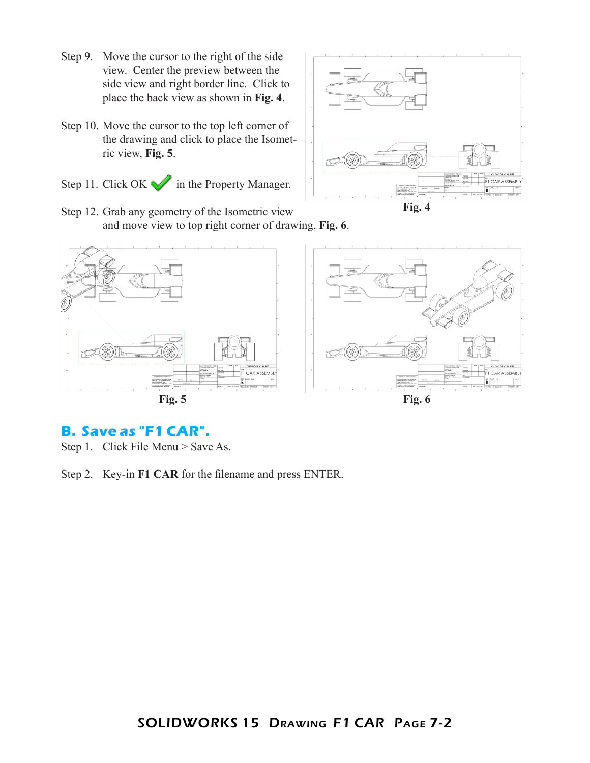- Step 9. Move the cursor to the right of the side view. Center the preview between the side view and right border line. Click to place the back view as shown in **Fig. 4**.
- Step 10. Move the cursor to the top left corner of the drawing and click to place the Isometric view, **Fig. 5**.
- Step 11. Click OK in the Property Manager.



Step 12. Grab any geometry of the Isometric view and move view to top right corner of drawing, **Fig. 6**.



#### **B. Save as "F1 CAR".**

Step 1. Click File Menu > Save As.

Step 2. Key-in **F1 CAR** for the filename and press ENTER.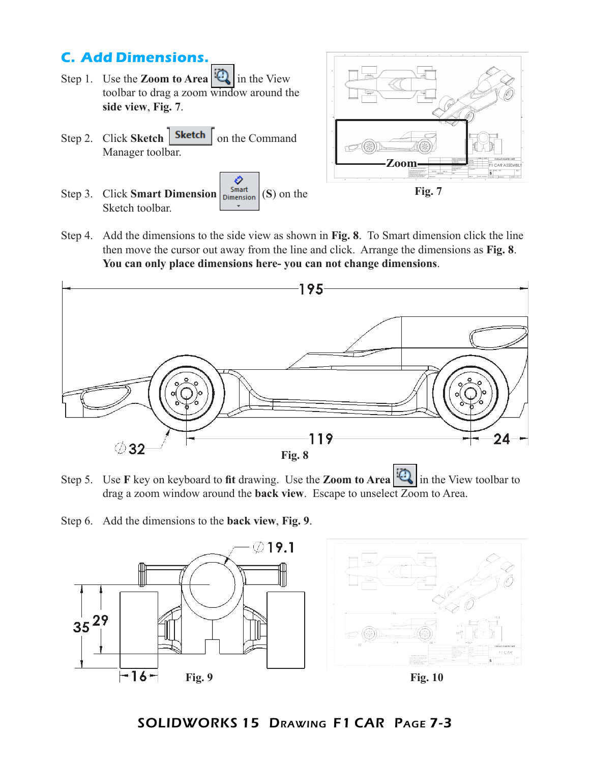# **C. Add Dimensions.**

- Step 1. Use the **Zoom to Area**  $\mathbb{Q}$  in the View toolbar to drag a zoom window around the **side view**, **Fig. 7**.
- Step 2. Click **Sketch Sketch** on the Command Manager toolbar.
- € Step 3. Click **Smart Dimension**  $\begin{bmatrix}$  Smart  $\end{bmatrix}$  (S) on the Sketch toolbar.



Step 4. Add the dimensions to the side view as shown in **Fig. 8**. To Smart dimension click the line then move the cursor out away from the line and click. Arrange the dimensions as **Fig. 8**. **You can only place dimensions here- you can not change dimensions**.



- Step 5. Use **F** key on keyboard to **fit** drawing. Use the **Zoom to Area** in the View toolbar to drag a zoom window around the **back view**.Escape to unselect Zoom to Area.
- Step 6. Add the dimensions to the **back view**, **Fig. 9**.





**Fig. 10**

### SOLIDWORKS 15 Drawing F1 CAR Page 7-3